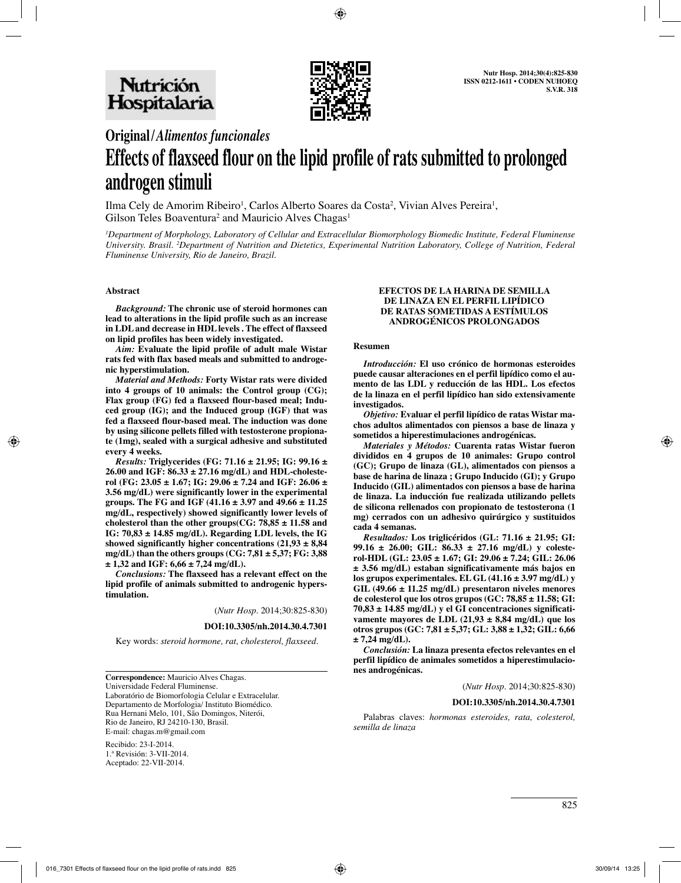

## **Original/***Alimentos funcionales*

# **Effects of flaxseed flour on the lipid profile of rats submitted to prolonged androgen stimuli**

Ilma Cely de Amorim Ribeiro<sup>1</sup>, Carlos Alberto Soares da Costa<sup>2</sup>, Vivian Alves Pereira<sup>1</sup>, Gilson Teles Boaventura<sup>2</sup> and Mauricio Alves Chagas<sup>1</sup>

*1 Department of Morphology, Laboratory of Cellular and Extracellular Biomorphology Biomedic Institute, Federal Fluminense University. Brasil. 2 Department of Nutrition and Dietetics, Experimental Nutrition Laboratory, College of Nutrition, Federal Fluminense University, Rio de Janeiro, Brazil.*

### **Abstract**

*Background:* **The chronic use of steroid hormones can lead to alterations in the lipid profile such as an increase in LDL and decrease in HDL levels . The effect of flaxseed on lipid profiles has been widely investigated.** 

*Aim:* **Evaluate the lipid profile of adult male Wistar rats fed with flax based meals and submitted to androgenic hyperstimulation.** 

*Material and Methods:* **Forty Wistar rats were divided into 4 groups of 10 animals: the Control group (CG); Flax group (FG) fed a flaxseed flour-based meal; Induced group (IG); and the Induced group (IGF) that was fed a flaxseed flour-based meal. The induction was done by using silicone pellets filled with testosterone propionate (1mg), sealed with a surgical adhesive and substituted every 4 weeks.** 

*Results:* **Triglycerides (FG: 71.16 ± 21.95; IG: 99.16 ± 26.00 and IGF: 86.33 ± 27.16 mg/dL) and HDL-cholesterol (FG: 23.05 ± 1.67; IG: 29.06 ± 7.24 and IGF: 26.06 ± 3.56 mg/dL) were significantly lower in the experimental groups. The FG and IGF (41.16 ± 3.97 and 49.66 ± 11.25 mg/dL, respectively) showed significantly lower levels of cholesterol than the other groups(CG: 78,85 ± 11.58 and IG: 70,83 ± 14.85 mg/dL). Regarding LDL levels, the IG showed significantly higher concentrations (21,93 ± 8,84 mg/dL) than the others groups (CG: 7,81 ± 5,37; FG: 3,88 ± 1,32 and IGF: 6,66 ± 7,24 mg/dL).**

*Conclusions:* **The flaxseed has a relevant effect on the lipid profile of animals submitted to androgenic hyperstimulation.**

(*Nutr Hosp.* 2014;30:825-830)

**DOI:10.3305/nh.2014.30.4.7301**

Key words: *steroid hormone, rat, cholesterol, flaxseed.*

**Correspondence:** Mauricio Alves Chagas.

Universidade Federal Fluminense.

Laboratório de Biomorfologia Celular e Extracelular. Departamento de Morfologia/ Instituto Biomédico. Rua Hernani Melo, 101, São Domingos, Niterói,

Rio de Janeiro, RJ 24210-130, Brasil. E-mail: chagas.m@gmail.com

Recibido: 23-I-2014. 1.ª Revisión: 3-VII-2014. Aceptado: 22-VII-2014.

#### **EFECTOS DE LA HARINA DE SEMILLA DE LINAZA EN EL PERFIL LIPÍDICO DE RATAS SOMETIDAS A ESTÍMULOS ANDROGÉNICOS PROLONGADOS**

#### **Resumen**

*Introducción:* **El uso crónico de hormonas esteroides puede causar alteraciones en el perfil lipídico como el aumento de las LDL y reducción de las HDL. Los efectos de la linaza en el perfil lipídico han sido extensivamente investigados.** 

*Objetivo:* **Evaluar el perfil lipídico de ratas Wistar machos adultos alimentados con piensos a base de linaza y sometidos a hiperestimulaciones androgénicas.**

*Materiales y Métodos:* **Cuarenta ratas Wistar fueron divididos en 4 grupos de 10 animales: Grupo control (GC); Grupo de linaza (GL), alimentados con piensos a base de harina de linaza ; Grupo Inducido (GI); y Grupo Inducido (GIL) alimentados con piensos a base de harina de linaza. La inducción fue realizada utilizando pellets de silicona rellenados con propionato de testosterona (1 mg) cerrados con un adhesivo quirúrgico y sustituidos cada 4 semanas.**

*Resultados:* **Los triglicéridos (GL: 71.16 ± 21.95; GI: 99.16 ± 26.00; GIL: 86.33 ± 27.16 mg/dL) y colesterol-HDL (GL: 23.05 ± 1.67; GI: 29.06 ± 7.24; GIL: 26.06 ± 3.56 mg/dL) estaban significativamente más bajos en los grupos experimentales. EL GL (41.16 ± 3.97 mg/dL) y GIL (49.66 ± 11.25 mg/dL) presentaron niveles menores de colesterol que los otros grupos (GC: 78,85 ± 11.58; GI: 70,83 ± 14.85 mg/dL) y el GI concentraciones significativamente mayores de LDL (21,93 ± 8,84 mg/dL) que los otros grupos (GC: 7,81 ± 5,37; GL: 3,88 ± 1,32; GIL: 6,66 ± 7,24 mg/dL).**

*Conclusión:* **La linaza presenta efectos relevantes en el perfil lipídico de animales sometidos a hiperestimulaciones androgénicas.**

(*Nutr Hosp.* 2014;30:825-830)

## **DOI:10.3305/nh.2014.30.4.7301**

Palabras claves: *hormonas esteroides, rata, colesterol, semilla de linaza*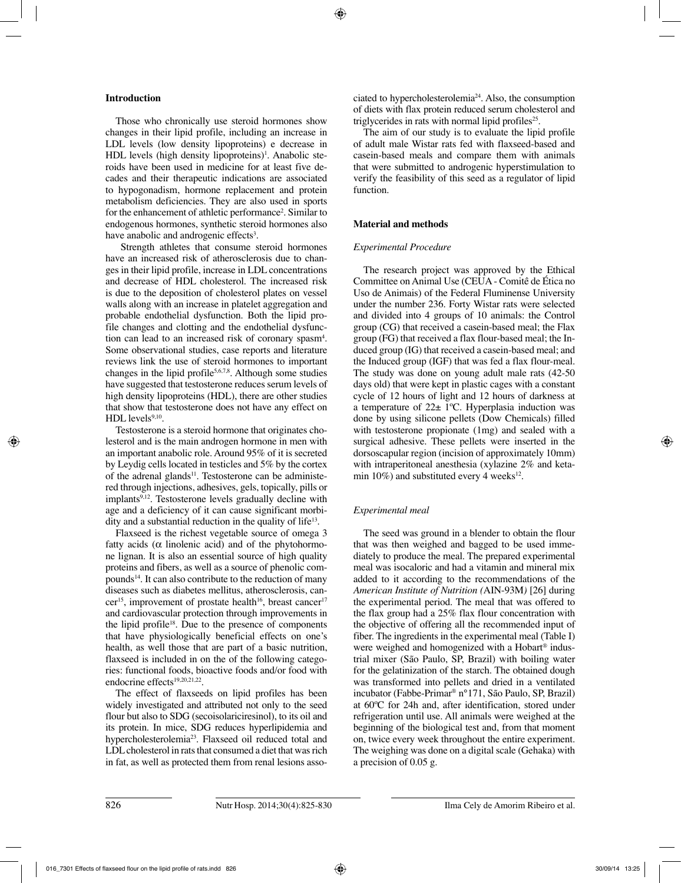## **Introduction**

Those who chronically use steroid hormones show changes in their lipid profile, including an increase in LDL levels (low density lipoproteins) e decrease in HDL levels (high density lipoproteins)<sup>1</sup>. Anabolic steroids have been used in medicine for at least five decades and their therapeutic indications are associated to hypogonadism, hormone replacement and protein metabolism deficiencies. They are also used in sports for the enhancement of athletic performance<sup>2</sup>. Similar to endogenous hormones, synthetic steroid hormones also have anabolic and androgenic effects<sup>3</sup>.

 Strength athletes that consume steroid hormones have an increased risk of atherosclerosis due to changes in their lipid profile, increase in LDL concentrations and decrease of HDL cholesterol. The increased risk is due to the deposition of cholesterol plates on vessel walls along with an increase in platelet aggregation and probable endothelial dysfunction. Both the lipid profile changes and clotting and the endothelial dysfunction can lead to an increased risk of coronary spasm4 . Some observational studies, case reports and literature reviews link the use of steroid hormones to important changes in the lipid profile<sup>5,6,7,8</sup>. Although some studies have suggested that testosterone reduces serum levels of high density lipoproteins (HDL), there are other studies that show that testosterone does not have any effect on HDL levels $9,10$ .

Testosterone is a steroid hormone that originates cholesterol and is the main androgen hormone in men with an important anabolic role. Around 95% of it is secreted by Leydig cells located in testicles and 5% by the cortex of the adrenal glands<sup>11</sup>. Testosterone can be administered through injections, adhesives, gels, topically, pills or  $implants<sup>9,12</sup>$ . Testosterone levels gradually decline with age and a deficiency of it can cause significant morbidity and a substantial reduction in the quality of life<sup>13</sup>.

Flaxseed is the richest vegetable source of omega 3 fatty acids  $(\alpha)$  linolenic acid) and of the phytohormone lignan. It is also an essential source of high quality proteins and fibers, as well as a source of phenolic compounds<sup>14</sup>. It can also contribute to the reduction of many diseases such as diabetes mellitus, atherosclerosis, cancer<sup>15</sup>, improvement of prostate health<sup>16</sup>, breast cancer<sup>17</sup> and cardiovascular protection through improvements in the lipid profile18. Due to the presence of components that have physiologically beneficial effects on one's health, as well those that are part of a basic nutrition, flaxseed is included in on the of the following categories: functional foods, bioactive foods and/or food with endocrine effects<sup>19,20,21,22</sup>.

The effect of flaxseeds on lipid profiles has been widely investigated and attributed not only to the seed flour but also to SDG (secoisolariciresinol), to its oil and its protein. In mice, SDG reduces hyperlipidemia and hypercholesterolemia<sup>23</sup>. Flaxseed oil reduced total and LDL cholesterol in rats that consumed a diet that was rich in fat, as well as protected them from renal lesions associated to hypercholesterolemia24. Also, the consumption of diets with flax protein reduced serum cholesterol and triglycerides in rats with normal lipid profiles<sup>25</sup>.

The aim of our study is to evaluate the lipid profile of adult male Wistar rats fed with flaxseed-based and casein-based meals and compare them with animals that were submitted to androgenic hyperstimulation to verify the feasibility of this seed as a regulator of lipid function.

## **Material and methods**

## *Experimental Procedure*

The research project was approved by the Ethical Committee on Animal Use (CEUA - Comitê de Ética no Uso de Animais) of the Federal Fluminense University under the number 236. Forty Wistar rats were selected and divided into 4 groups of 10 animals: the Control group (CG) that received a casein-based meal; the Flax group (FG) that received a flax flour-based meal; the Induced group (IG) that received a casein-based meal; and the Induced group (IGF) that was fed a flax flour-meal. The study was done on young adult male rats (42-50 days old) that were kept in plastic cages with a constant cycle of 12 hours of light and 12 hours of darkness at a temperature of  $22 \pm 1$ °C. Hyperplasia induction was done by using silicone pellets (Dow Chemicals) filled with testosterone propionate (1mg) and sealed with a surgical adhesive. These pellets were inserted in the dorsoscapular region (incision of approximately 10mm) with intraperitoneal anesthesia (xylazine 2% and ketamin 10%) and substituted every 4 weeks<sup>12</sup>.

## *Experimental meal*

The seed was ground in a blender to obtain the flour that was then weighed and bagged to be used immediately to produce the meal. The prepared experimental meal was isocaloric and had a vitamin and mineral mix added to it according to the recommendations of the *American Institute of Nutrition (*AIN-93M*)* [26] during the experimental period. The meal that was offered to the flax group had a 25% flax flour concentration with the objective of offering all the recommended input of fiber. The ingredients in the experimental meal (Table I) were weighed and homogenized with a Hobart<sup>®</sup> industrial mixer (São Paulo, SP, Brazil) with boiling water for the gelatinization of the starch. The obtained dough was transformed into pellets and dried in a ventilated incubator (Fabbe-Primar® n°171, São Paulo, SP, Brazil) at 60ºC for 24h and, after identification, stored under refrigeration until use. All animals were weighed at the beginning of the biological test and, from that moment on, twice every week throughout the entire experiment. The weighing was done on a digital scale (Gehaka) with a precision of 0.05 g.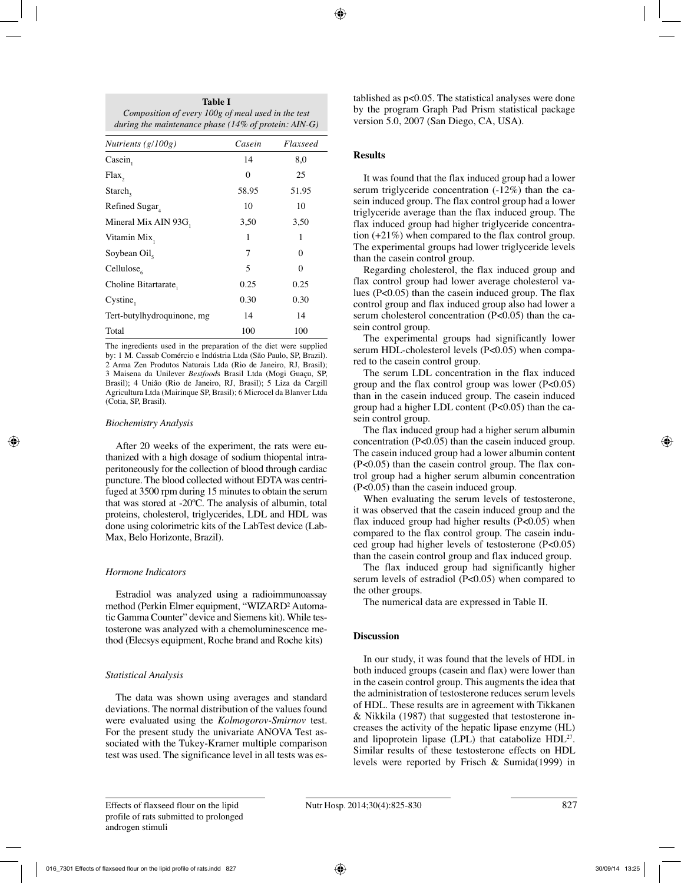| <b>Table I</b>                                       |
|------------------------------------------------------|
| Composition of every 100g of meal used in the test   |
| during the maintenance phase (14% of protein: AIN-G) |

| Nutrients $(g/100g)$       | Casein   | Flaxseed |
|----------------------------|----------|----------|
| $\text{Case}in$            | 14       | 8,0      |
| Flax                       | $\Omega$ | 25       |
| Starch,                    | 58.95    | 51.95    |
| Refined Sugar              | 10       | 10       |
| Mineral Mix AIN 93G,       | 3,50     | 3,50     |
| Vitamin Mix,               | 1        | 1        |
| Soybean Oil,               | 7        | $\theta$ |
| Cellulose <sub>c</sub>     | 5        | 0        |
| Choline Bitartarate,       | 0.25     | 0.25     |
| Cystine,                   | 0.30     | 0.30     |
| Tert-butylhydroquinone, mg | 14       | 14       |
| Total                      | 100      | 100      |

The ingredients used in the preparation of the diet were supplied by: 1 M. Cassab Comércio e Indústria Ltda (São Paulo, SP, Brazil). 2 Arma Zen Produtos Naturais Ltda (Rio de Janeiro, RJ, Brasil); 3 Maisena da Unilever *Bestfood*s Brasil Ltda (Mogi Guaçu, SP, Brasil); 4 União (Rio de Janeiro, RJ, Brasil); 5 Liza da Cargill Agricultura Ltda (Mairinque SP, Brasil); 6 Microcel da Blanver Ltda (Cotia, SP, Brasil).

## *Biochemistry Analysis*

After 20 weeks of the experiment, the rats were euthanized with a high dosage of sodium thiopental intraperitoneously for the collection of blood through cardiac puncture. The blood collected without EDTA was centrifuged at 3500 rpm during 15 minutes to obtain the serum that was stored at -20ºC. The analysis of albumin, total proteins, cholesterol, triglycerides, LDL and HDL was done using colorimetric kits of the LabTest device (Lab-Max, Belo Horizonte, Brazil).

## *Hormone Indicators*

Estradiol was analyzed using a radioimmunoassay method (Perkin Elmer equipment, "WIZARD² Automatic Gamma Counter" device and Siemens kit). While testosterone was analyzed with a chemoluminescence method (Elecsys equipment, Roche brand and Roche kits)

## *Statistical Analysis*

The data was shown using averages and standard deviations. The normal distribution of the values found were evaluated using the *Kolmogorov-Smirnov* test. For the present study the univariate ANOVA Test associated with the Tukey-Kramer multiple comparison test was used. The significance level in all tests was established as p<0.05. The statistical analyses were done by the program Graph Pad Prism statistical package version 5.0, 2007 (San Diego, CA, USA).

## **Results**

It was found that the flax induced group had a lower serum triglyceride concentration (-12%) than the casein induced group. The flax control group had a lower triglyceride average than the flax induced group. The flax induced group had higher triglyceride concentration (+21%) when compared to the flax control group. The experimental groups had lower triglyceride levels than the casein control group.

Regarding cholesterol, the flax induced group and flax control group had lower average cholesterol values (P<0.05) than the casein induced group. The flax control group and flax induced group also had lower a serum cholesterol concentration (P<0.05) than the casein control group.

The experimental groups had significantly lower serum HDL-cholesterol levels (P<0.05) when compared to the casein control group.

The serum LDL concentration in the flax induced group and the flax control group was lower  $(P<0.05)$ than in the casein induced group. The casein induced group had a higher LDL content (P<0.05) than the casein control group.

The flax induced group had a higher serum albumin concentration (P<0.05) than the casein induced group. The casein induced group had a lower albumin content (P<0.05) than the casein control group. The flax control group had a higher serum albumin concentration (P<0.05) than the casein induced group.

When evaluating the serum levels of testosterone, it was observed that the casein induced group and the flax induced group had higher results  $(P<0.05)$  when compared to the flax control group. The casein induced group had higher levels of testosterone (P<0.05) than the casein control group and flax induced group.

The flax induced group had significantly higher serum levels of estradiol (P<0.05) when compared to the other groups.

The numerical data are expressed in Table II.

## **Discussion**

In our study, it was found that the levels of HDL in both induced groups (casein and flax) were lower than in the casein control group. This augments the idea that the administration of testosterone reduces serum levels of HDL. These results are in agreement with Tikkanen & Nikkila (1987) that suggested that testosterone increases the activity of the hepatic lipase enzyme (HL) and lipoprotein lipase (LPL) that catabolize  $HDL^{27}$ . Similar results of these testosterone effects on HDL levels were reported by Frisch & Sumida(1999) in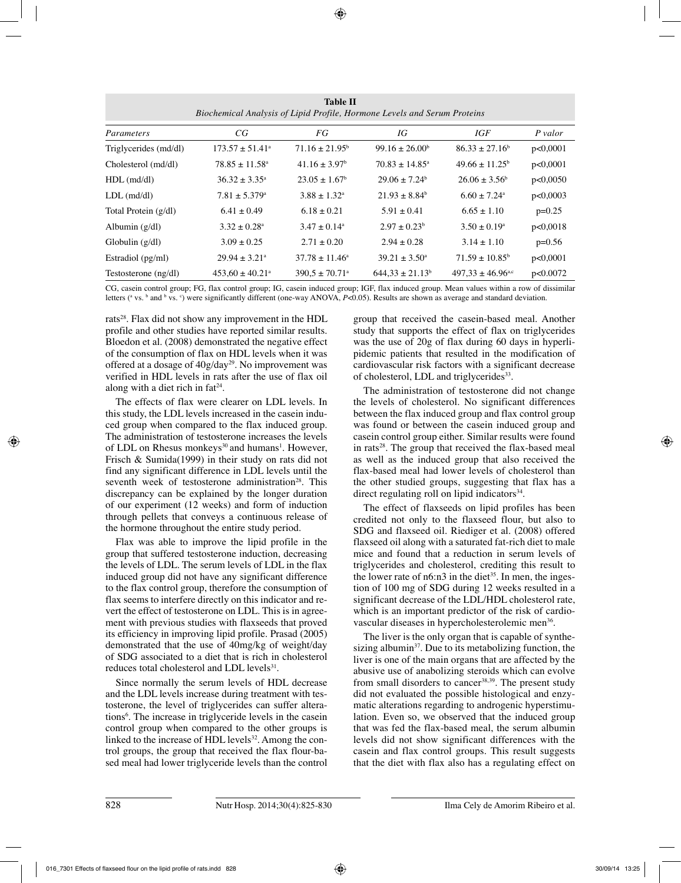| Table II<br>Biochemical Analysis of Lipid Profile, Hormone Levels and Serum Proteins |                                 |                                |                                |                                   |          |  |  |  |
|--------------------------------------------------------------------------------------|---------------------------------|--------------------------------|--------------------------------|-----------------------------------|----------|--|--|--|
| Parameters                                                                           | CG                              | FG                             | IG                             | IGF                               | P valor  |  |  |  |
| Triglycerides (md/dl)                                                                | $173.57 \pm 51.41^{\circ}$      | $71.16 \pm 21.95^{\circ}$      | $99.16 \pm 26.00^b$            | $86.33 \pm 27.16^b$               | p<0,0001 |  |  |  |
| Cholesterol (md/dl)                                                                  | $78.85 \pm 11.58^{\circ}$       | $41.16 \pm 3.97^{\circ}$       | $70.83 \pm 14.85$ <sup>a</sup> | $49.66 \pm 11.25^b$               | p<0,0001 |  |  |  |
| $HDL$ (md/dl)                                                                        | $36.32 \pm 3.35^{\circ}$        | $23.05 \pm 1.67^{\circ}$       | $29.06 \pm 7.24^{\circ}$       | $26.06 \pm 3.56^b$                | p<0,0050 |  |  |  |
| $LDL$ (md/dl)                                                                        | $7.81 \pm 5.379^{\circ}$        | $3.88 \pm 1.32^{\text{a}}$     | $21.93 \pm 8.84^b$             | $6.60 \pm 7.24$ <sup>a</sup>      | p<0,0003 |  |  |  |
| Total Protein (g/dl)                                                                 | $6.41 \pm 0.49$                 | $6.18 \pm 0.21$                | $5.91 \pm 0.41$                | $6.65 \pm 1.10$                   | $p=0.25$ |  |  |  |
| Albumin $(g/dl)$                                                                     | $3.32 \pm 0.28$ <sup>a</sup>    | $3.47 \pm 0.14$ <sup>a</sup>   | $2.97 \pm 0.23^b$              | $3.50 \pm 0.19^{\circ}$           | p<0,0018 |  |  |  |
| Globulin $(g/dl)$                                                                    | $3.09 \pm 0.25$                 | $2.71 \pm 0.20$                | $2.94 \pm 0.28$                | $3.14 \pm 1.10$                   | $p=0.56$ |  |  |  |
| Estradiol (pg/ml)                                                                    | $29.94 \pm 3.21^{\circ}$        | $37.78 \pm 11.46^{\circ}$      | $39.21 \pm 3.50^{\circ}$       | $71.59 \pm 10.85^{\circ}$         | p<0,0001 |  |  |  |
| Testosterone (ng/dl)                                                                 | $453.60 \pm 40.21$ <sup>a</sup> | $390.5 \pm 70.71$ <sup>a</sup> | $644.33 \pm 21.13^b$           | $497.33 \pm 46.96$ <sub>a,c</sub> | p<0.0072 |  |  |  |

CG, casein control group; FG, flax control group; IG, casein induced group; IGF, flax induced group. Mean values within a row of dissimilar letters (<sup>a</sup> vs. <sup>b</sup> and <sup>b</sup> vs. <sup>c</sup>) were significantly different (one-way ANOVA, *P<*0.05). Results are shown as average and standard deviation.

rats<sup>28</sup>. Flax did not show any improvement in the HDL profile and other studies have reported similar results. Bloedon et al. (2008) demonstrated the negative effect of the consumption of flax on HDL levels when it was offered at a dosage of 40g/day<sup>29</sup>. No improvement was verified in HDL levels in rats after the use of flax oil along with a diet rich in  $fat^{24}$ .

The effects of flax were clearer on LDL levels. In this study, the LDL levels increased in the casein induced group when compared to the flax induced group. The administration of testosterone increases the levels of LDL on Rhesus monkeys<sup>30</sup> and humans<sup>1</sup>. However, Frisch & Sumida(1999) in their study on rats did not find any significant difference in LDL levels until the seventh week of testosterone administration<sup>28</sup>. This discrepancy can be explained by the longer duration of our experiment (12 weeks) and form of induction through pellets that conveys a continuous release of the hormone throughout the entire study period.

Flax was able to improve the lipid profile in the group that suffered testosterone induction, decreasing the levels of LDL. The serum levels of LDL in the flax induced group did not have any significant difference to the flax control group, therefore the consumption of flax seems to interfere directly on this indicator and revert the effect of testosterone on LDL. This is in agreement with previous studies with flaxseeds that proved its efficiency in improving lipid profile. Prasad (2005) demonstrated that the use of 40mg/kg of weight/day of SDG associated to a diet that is rich in cholesterol reduces total cholesterol and LDL levels<sup>31</sup>.

Since normally the serum levels of HDL decrease and the LDL levels increase during treatment with testosterone, the level of triglycerides can suffer alterations6 . The increase in triglyceride levels in the casein control group when compared to the other groups is linked to the increase of HDL levels $32$ . Among the control groups, the group that received the flax flour-based meal had lower triglyceride levels than the control

group that received the casein-based meal. Another study that supports the effect of flax on triglycerides was the use of 20g of flax during 60 days in hyperlipidemic patients that resulted in the modification of cardiovascular risk factors with a significant decrease of cholesterol, LDL and triglycerides<sup>33</sup>.

The administration of testosterone did not change the levels of cholesterol. No significant differences between the flax induced group and flax control group was found or between the casein induced group and casein control group either. Similar results were found in rats<sup>28</sup>. The group that received the flax-based meal as well as the induced group that also received the flax-based meal had lower levels of cholesterol than the other studied groups, suggesting that flax has a direct regulating roll on lipid indicators $34$ .

The effect of flaxseeds on lipid profiles has been credited not only to the flaxseed flour, but also to SDG and flaxseed oil. Riediger et al. (2008) offered flaxseed oil along with a saturated fat-rich diet to male mice and found that a reduction in serum levels of triglycerides and cholesterol, crediting this result to the lower rate of  $n6:n3$  in the diet<sup>35</sup>. In men, the ingestion of 100 mg of SDG during 12 weeks resulted in a significant decrease of the LDL/HDL cholesterol rate, which is an important predictor of the risk of cardiovascular diseases in hypercholesterolemic men<sup>36</sup>.

The liver is the only organ that is capable of synthesizing albumin<sup>37</sup>. Due to its metabolizing function, the liver is one of the main organs that are affected by the abusive use of anabolizing steroids which can evolve from small disorders to cancer<sup>38,39</sup>. The present study did not evaluated the possible histological and enzymatic alterations regarding to androgenic hyperstimulation. Even so, we observed that the induced group that was fed the flax-based meal, the serum albumin levels did not show significant differences with the casein and flax control groups. This result suggests that the diet with flax also has a regulating effect on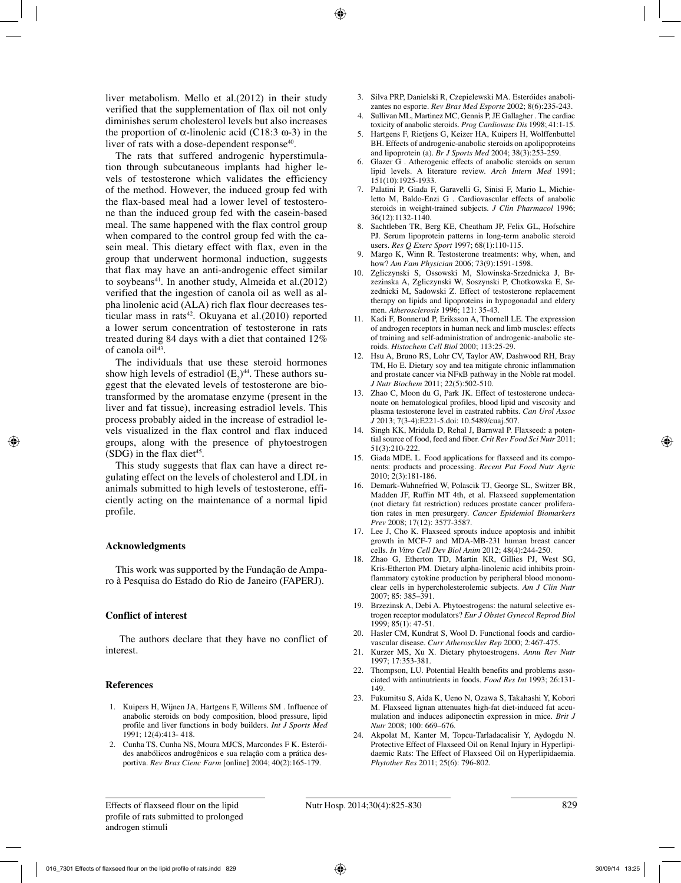liver metabolism. Mello et al.(2012) in their study verified that the supplementation of flax oil not only diminishes serum cholesterol levels but also increases the proportion of α-linolenic acid (C18:3  $ω$ -3) in the liver of rats with a dose-dependent response<sup>40</sup>.

The rats that suffered androgenic hyperstimulation through subcutaneous implants had higher levels of testosterone which validates the efficiency of the method. However, the induced group fed with the flax-based meal had a lower level of testosterone than the induced group fed with the casein-based meal. The same happened with the flax control group when compared to the control group fed with the casein meal. This dietary effect with flax, even in the group that underwent hormonal induction, suggests that flax may have an anti-androgenic effect similar to soybeans<sup>41</sup>. In another study, Almeida et al. $(2012)$ verified that the ingestion of canola oil as well as alpha linolenic acid (ALA) rich flax flour decreases testicular mass in rats<sup>42</sup>. Okuyana et al. $(2010)$  reported a lower serum concentration of testosterone in rats treated during 84 days with a diet that contained 12% of canola oil<sup>43</sup>.

The individuals that use these steroid hormones show high levels of estradiol  $(E_2)^{44}$ . These authors suggest that the elevated levels of testosterone are biotransformed by the aromatase enzyme (present in the liver and fat tissue), increasing estradiol levels. This process probably aided in the increase of estradiol levels visualized in the flax control and flax induced groups, along with the presence of phytoestrogen (SDG) in the flax diet<sup>45</sup>.

This study suggests that flax can have a direct regulating effect on the levels of cholesterol and LDL in animals submitted to high levels of testosterone, efficiently acting on the maintenance of a normal lipid profile.

#### **Acknowledgments**

This work was supported by the Fundação de Amparo à Pesquisa do Estado do Rio de Janeiro (FAPERJ).

## **Conflict of interest**

The authors declare that they have no conflict of interest.

#### **References**

- 1. Kuipers H, Wijnen JA, Hartgens F, Willems SM . Influence of anabolic steroids on body composition, blood pressure, lipid profile and liver functions in body builders. *Int J Sports Med* 1991; 12(4):413- 418.
- 2. Cunha TS, Cunha NS, Moura MJCS, Marcondes F K. Esteróides anabólicos androgênicos e sua relação com a prática desportiva. *Rev Bras Cienc Farm* [online] 2004; 40(2):165-179.
- 3. Silva PRP, Danielski R, Czepielewski MA. Esteróides anabolizantes no esporte. *Rev Bras Med Esporte* 2002; 8(6):235-243.
- 4. Sullivan ML, Martinez MC, Gennis P, JE Gallagher . The cardiac toxicity of anabolic steroids. *Prog Cardiovasc Dis* 1998; 41:1-15.
- 5. Hartgens F, Rietjens G, Keizer HA, Kuipers H, Wolffenbuttel BH. Effects of androgenic-anabolic steroids on apolipoproteins and lipoprotein (a). *Br J Sports Med* 2004; 38(3):253-259.
- 6. Glazer G . Atherogenic effects of anabolic steroids on serum lipid levels. A literature review. *Arch Intern Med* 1991; 151(10):1925-1933.
- 7. Palatini P, Giada F, Garavelli G, Sinisi F, Mario L, Michieletto M, Baldo-Enzi G . Cardiovascular effects of anabolic steroids in weight-trained subjects. *J Clin Pharmacol* 1996; 36(12):1132-1140.
- 8. Sachtleben TR, Berg KE, Cheatham JP, Felix GL, Hofschire PJ. Serum lipoprotein patterns in long-term anabolic steroid users. *Res Q Exerc Sport* 1997; 68(1):110-115.
- 9. Margo K, Winn R. Testosterone treatments: why, when, and how? *Am Fam Physician* 2006; 73(9):1591-1598.
- 10. Zgliczynski S, Ossowski M, Slowinska-Srzednicka J, Brzezinska A, Zgliczynski W, Soszynski P, Chotkowska E, Srzednicki M, Sadowski Z. Effect of testosterone replacement therapy on lipids and lipoproteins in hypogonadal and eldery men. *Atherosclerosis* 1996; 121: 35-43.
- 11. Kadi F, Bonnerud P, Eriksson A, Thornell LE. The expression of androgen receptors in human neck and limb muscles: effects of training and self-administration of androgenic-anabolic steroids. *Histochem Cell Biol* 2000; 113:25-29.
- 12. Hsu A, Bruno RS, Lohr CV, Taylor AW, Dashwood RH, Bray TM, Ho E. Dietary soy and tea mitigate chronic inflammation and prostate cancer via NFκB pathway in the Noble rat model. *J Nutr Biochem* 2011; 22(5):502-510.
- 13. Zhao C, Moon du G, Park JK. Effect of testosterone undecanoate on hematological profiles, blood lipid and viscosity and plasma testosterone level in castrated rabbits. *Can Urol Assoc J* 2013; 7(3-4):E221-5.doi: 10.5489/cuaj.507.
- 14. Singh KK, Mridula D, Rehal J, Barnwal P. Flaxseed: a potential source of food, feed and fiber. *Crit Rev Food Sci Nutr* 2011; 51(3):210-222.
- 15. Giada MDE. L. Food applications for flaxseed and its components: products and processing. *Recent Pat Food Nutr Agric*  2010; 2(3):181-186.
- 16. Demark-Wahnefried W, Polascik TJ, George SL, Switzer BR, Madden JF, Ruffin MT 4th, et al. Flaxseed supplementation (not dietary fat restriction) reduces prostate cancer proliferation rates in men presurgery. *Cancer Epidemiol Biomarkers Prev* 2008; 17(12): 3577-3587.
- 17. Lee J, Cho K. Flaxseed sprouts induce apoptosis and inhibit growth in MCF-7 and MDA-MB-231 human breast cancer cells. *In Vitro Cell Dev Biol Anim* 2012; 48(4):244-250.
- Zhao G, Etherton TD, Martin KR, Gillies PJ, West SG, Kris-Etherton PM. Dietary alpha-linolenic acid inhibits proinflammatory cytokine production by peripheral blood mononuclear cells in hypercholesterolemic subjects. *Am J Clin Nutr* 2007; 85: 385–391.
- 19. Brzezinsk A, Debi A. Phytoestrogens: the natural selective estrogen receptor modulators? *Eur J Obstet Gynecol Reprod Biol* 1999; 85(1): 47-51.
- 20. Hasler CM, Kundrat S, Wool D. Functional foods and cardiovascular disease. *Curr Atherosckler Rep* 2000; 2:467-475.
- 21. Kurzer MS, Xu X. Dietary phytoestrogens. *Annu Rev Nutr* 1997; 17:353-381.
- 22. Thompson, LU. Potential Health benefits and problems associated with antinutrients in foods. *Food Res Int* 1993; 26:131- 149.
- 23. Fukumitsu S, Aida K, Ueno N, Ozawa S, Takahashi Y, Kobori M. Flaxseed lignan attenuates high-fat diet-induced fat accumulation and induces adiponectin expression in mice. *Brit J Nutr* 2008; 100: 669–676.
- 24. Akpolat M, Kanter M, Topcu-Tarladacalisir Y, Aydogdu N. Protective Effect of Flaxseed Oil on Renal Injury in Hyperlipidaemic Rats: The Effect of Flaxseed Oil on Hyperlipidaemia. *Phytother Res* 2011; 25(6): 796-802.